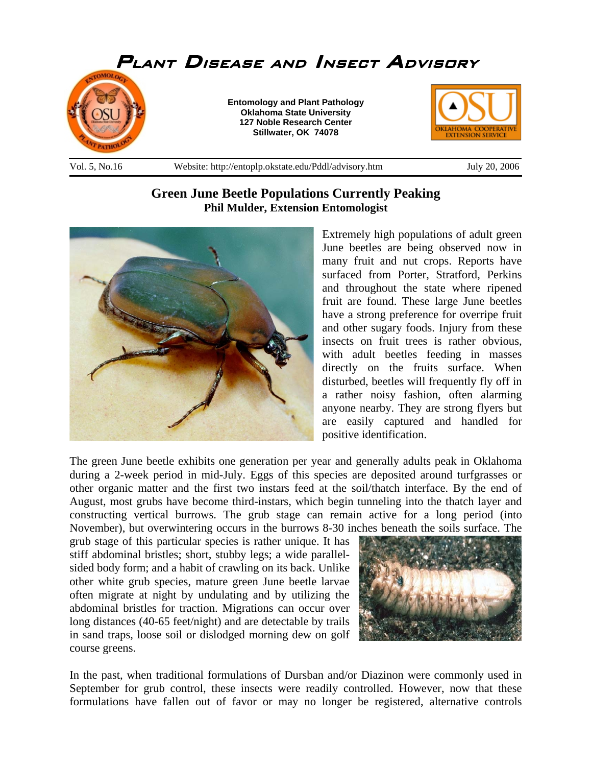

## **Green June Beetle Populations Currently Peaking Phil Mulder, Extension Entomologist**



Extremely high populations of adult green June beetles are being observed now in many fruit and nut crops. Reports have surfaced from Porter, Stratford, Perkins and throughout the state where ripened fruit are found. These large June beetles have a strong preference for overripe fruit and other sugary foods. Injury from these insects on fruit trees is rather obvious, with adult beetles feeding in masses directly on the fruits surface. When disturbed, beetles will frequently fly off in a rather noisy fashion, often alarming anyone nearby. They are strong flyers but are easily captured and handled for positive identification.

The green June beetle exhibits one generation per year and generally adults peak in Oklahoma during a 2-week period in mid-July. Eggs of this species are deposited around turfgrasses or other organic matter and the first two instars feed at the soil/thatch interface. By the end of August, most grubs have become third-instars, which begin tunneling into the thatch layer and constructing vertical burrows. The grub stage can remain active for a long period (into November), but overwintering occurs in the burrows 8-30 inches beneath the soils surface. The

grub stage of this particular species is rather unique. It has stiff abdominal bristles; short, stubby legs; a wide parallelsided body form; and a habit of crawling on its back. Unlike other white grub species, mature green June beetle larvae often migrate at night by undulating and by utilizing the abdominal bristles for traction. Migrations can occur over long distances (40-65 feet/night) and are detectable by trails in sand traps, loose soil or dislodged morning dew on golf course greens.



In the past, when traditional formulations of Dursban and/or Diazinon were commonly used in September for grub control, these insects were readily controlled. However, now that these formulations have fallen out of favor or may no longer be registered, alternative controls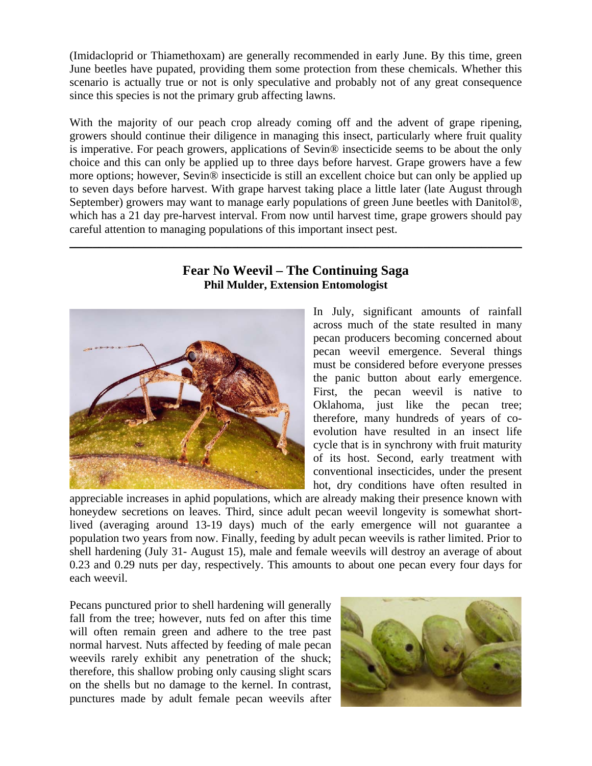(Imidacloprid or Thiamethoxam) are generally recommended in early June. By this time, green June beetles have pupated, providing them some protection from these chemicals. Whether this scenario is actually true or not is only speculative and probably not of any great consequence since this species is not the primary grub affecting lawns.

With the majority of our peach crop already coming off and the advent of grape ripening, growers should continue their diligence in managing this insect, particularly where fruit quality is imperative. For peach growers, applications of Sevin® insecticide seems to be about the only choice and this can only be applied up to three days before harvest. Grape growers have a few more options; however, Sevin® insecticide is still an excellent choice but can only be applied up to seven days before harvest. With grape harvest taking place a little later (late August through September) growers may want to manage early populations of green June beetles with Danitol®, which has a 21 day pre-harvest interval. From now until harvest time, grape growers should pay careful attention to managing populations of this important insect pest.

## **Fear No Weevil – The Continuing Saga Phil Mulder, Extension Entomologist**

\_\_\_\_\_\_\_\_\_\_\_\_\_\_\_\_\_\_\_\_\_\_\_\_\_\_\_\_\_\_\_\_\_\_\_\_\_\_\_\_\_\_\_\_\_\_\_\_\_\_\_\_\_\_\_\_\_\_\_\_\_\_\_\_\_\_\_\_\_\_\_\_\_\_\_\_\_\_



In July, significant amounts of rainfall across much of the state resulted in many pecan producers becoming concerned about pecan weevil emergence. Several things must be considered before everyone presses the panic button about early emergence. First, the pecan weevil is native to Oklahoma, just like the pecan tree; therefore, many hundreds of years of coevolution have resulted in an insect life cycle that is in synchrony with fruit maturity of its host. Second, early treatment with conventional insecticides, under the present hot, dry conditions have often resulted in

appreciable increases in aphid populations, which are already making their presence known with honeydew secretions on leaves. Third, since adult pecan weevil longevity is somewhat shortlived (averaging around 13-19 days) much of the early emergence will not guarantee a population two years from now. Finally, feeding by adult pecan weevils is rather limited. Prior to shell hardening (July 31- August 15), male and female weevils will destroy an average of about 0.23 and 0.29 nuts per day, respectively. This amounts to about one pecan every four days for each weevil.

Pecans punctured prior to shell hardening will generally fall from the tree; however, nuts fed on after this time will often remain green and adhere to the tree past normal harvest. Nuts affected by feeding of male pecan weevils rarely exhibit any penetration of the shuck; therefore, this shallow probing only causing slight scars on the shells but no damage to the kernel. In contrast, punctures made by adult female pecan weevils after